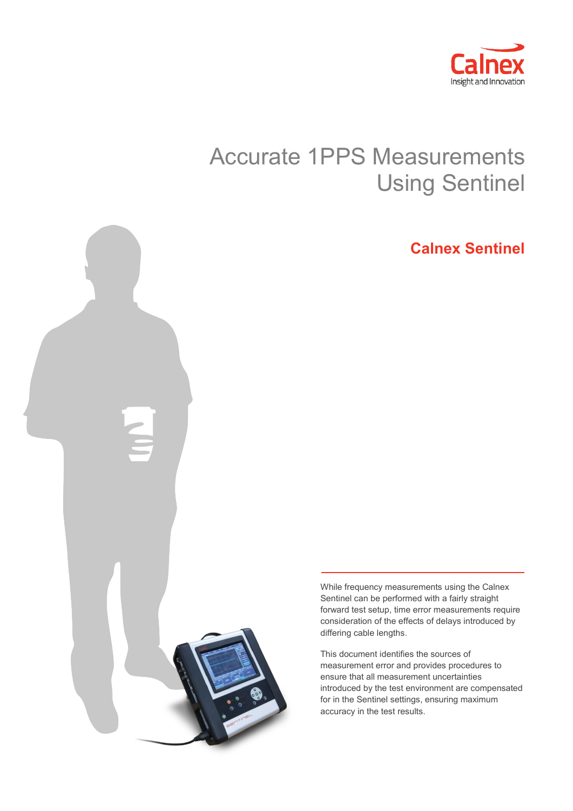

# Accurate 1PPS Measurements Using Sentinel

## **Calnex Sentinel**



While frequency measurements using the Calnex Sentinel can be performed with a fairly straight forward test setup, time error measurements require consideration of the effects of delays introduced by differing cable lengths.

This document identifies the sources of measurement error and provides procedures to ensure that all measurement uncertainties introduced by the test environment are compensated for in the Sentinel settings, ensuring maximum accuracy in the test results.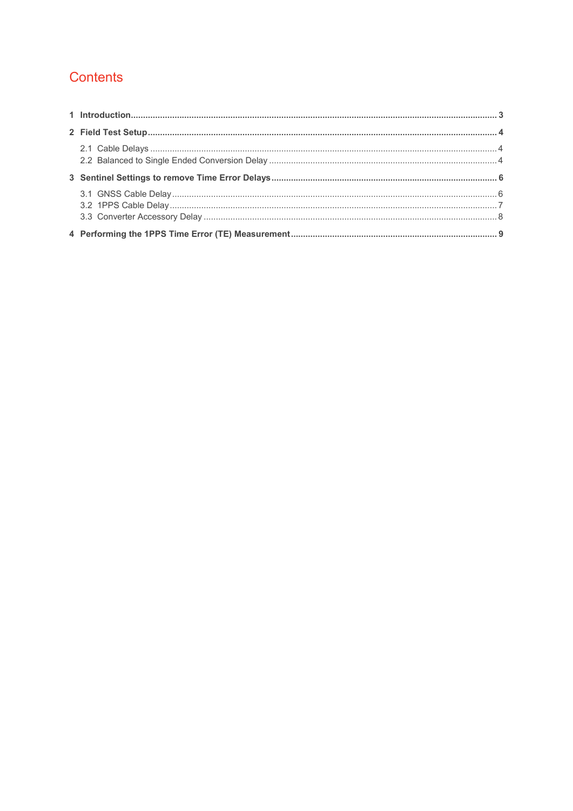### Contents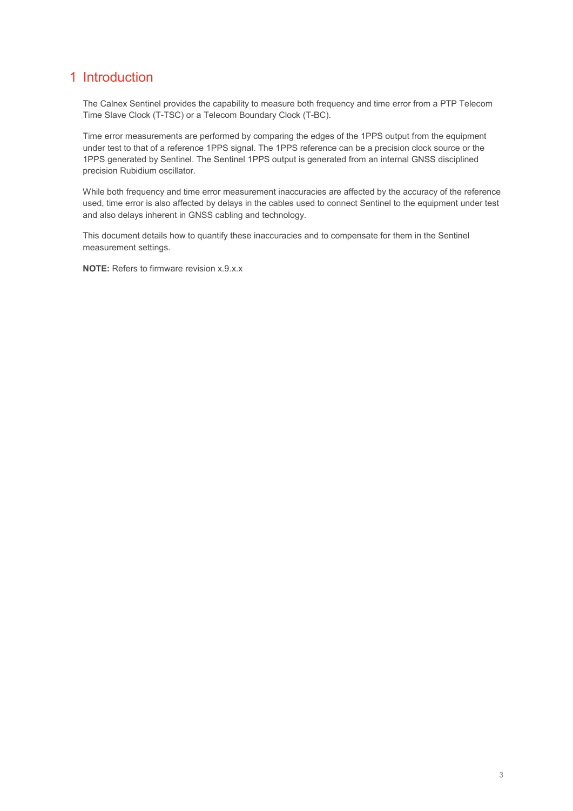### <span id="page-2-0"></span>1 Introduction

The Calnex Sentinel provides the capability to measure both frequency and time error from a PTP Telecom Time Slave Clock (T-TSC) or a Telecom Boundary Clock (T-BC).

Time error measurements are performed by comparing the edges of the 1PPS output from the equipment under test to that of a reference 1PPS signal. The 1PPS reference can be a precision clock source or the 1PPS generated by Sentinel. The Sentinel 1PPS output is generated from an internal GNSS disciplined precision Rubidium oscillator.

While both frequency and time error measurement inaccuracies are affected by the accuracy of the reference used, time error is also affected by delays in the cables used to connect Sentinel to the equipment under test and also delays inherent in GNSS cabling and technology.

This document details how to quantify these inaccuracies and to compensate for them in the Sentinel measurement settings.

**NOTE:** Refers to firmware revision x.9.x.x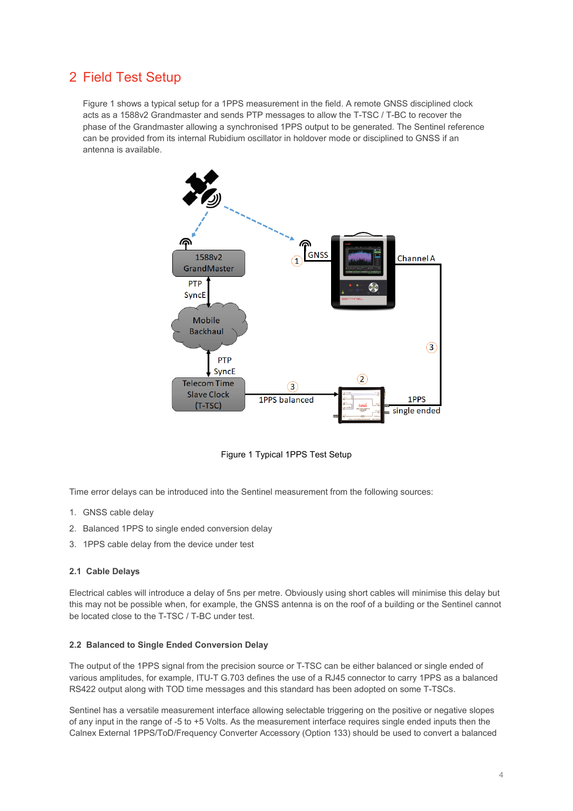### <span id="page-3-0"></span>2 Field Test Setup

[Figure 1](#page-3-3) shows a typical setup for a 1PPS measurement in the field. A remote GNSS disciplined clock acts as a 1588v2 Grandmaster and sends PTP messages to allow the T-TSC / T-BC to recover the phase of the Grandmaster allowing a synchronised 1PPS output to be generated. The Sentinel reference can be provided from its internal Rubidium oscillator in holdover mode or disciplined to GNSS if an antenna is available.



Figure 1 Typical 1PPS Test Setup

<span id="page-3-3"></span>Time error delays can be introduced into the Sentinel measurement from the following sources:

- 1. GNSS cable delay
- 2. Balanced 1PPS to single ended conversion delay
- 3. 1PPS cable delay from the device under test

#### <span id="page-3-1"></span>**2.1 Cable Delays**

Electrical cables will introduce a delay of 5ns per metre. Obviously using short cables will minimise this delay but this may not be possible when, for example, the GNSS antenna is on the roof of a building or the Sentinel cannot be located close to the T-TSC / T-BC under test.

#### <span id="page-3-2"></span>**2.2 Balanced to Single Ended Conversion Delay**

The output of the 1PPS signal from the precision source or T-TSC can be either balanced or single ended of various amplitudes, for example, ITU-T G.703 defines the use of a RJ45 connector to carry 1PPS as a balanced RS422 output along with TOD time messages and this standard has been adopted on some T-TSCs.

Sentinel has a versatile measurement interface allowing selectable triggering on the positive or negative slopes of any input in the range of -5 to +5 Volts. As the measurement interface requires single ended inputs then the Calnex External 1PPS/ToD/Frequency Converter Accessory (Option 133) should be used to convert a balanced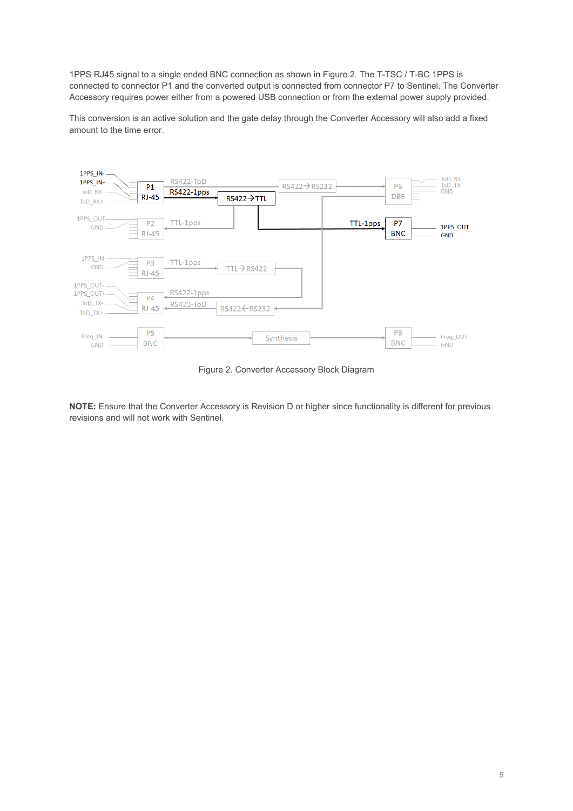1PPS RJ45 signal to a single ended BNC connection as shown i[n Figure 2.](#page-4-0) The T-TSC / T-BC 1PPS is connected to connector P1 and the converted output is connected from connector P7 to Sentinel. The Converter Accessory requires power either from a powered USB connection or from the external power supply provided.

This conversion is an active solution and the gate delay through the Converter Accessory will also add a fixed amount to the time error.



Figure 2. Converter Accessory Block Diagram

<span id="page-4-0"></span>**NOTE:** Ensure that the Converter Accessory is Revision D or higher since functionality is different for previous revisions and will not work with Sentinel.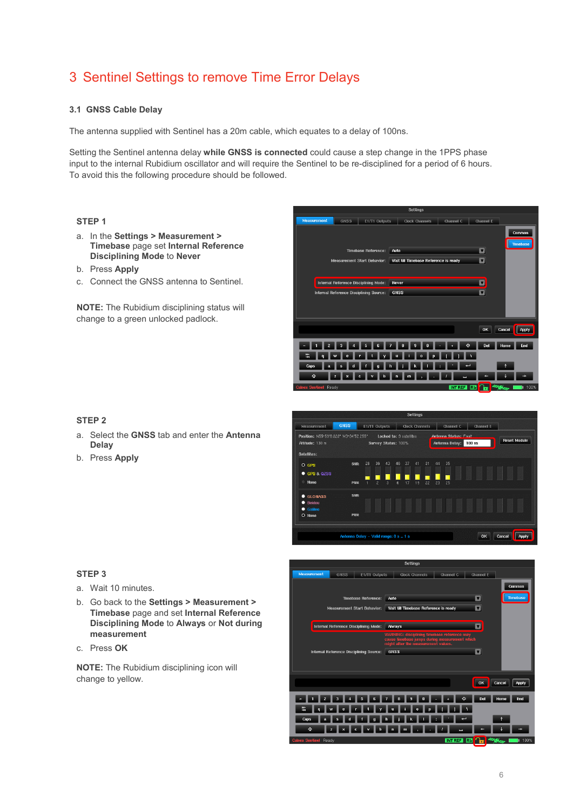### <span id="page-5-0"></span>3 Sentinel Settings to remove Time Error Delays

#### <span id="page-5-1"></span>**3.1 GNSS Cable Delay**

The antenna supplied with Sentinel has a 20m cable, which equates to a delay of 100ns.

Setting the Sentinel antenna delay **while GNSS is connected** could cause a step change in the 1PPS phase input to the internal Rubidium oscillator and will require the Sentinel to be re-disciplined for a period of 6 hours. To avoid this the following procedure should be followed.

#### **STEP 1**

- a. In the **Settings > Measurement > Timebase** page set **Internal Reference Disciplining Mode** to **Never**
- b. Press **Apply**
- c. Connect the GNSS antenna to Sentinel.

**NOTE:** The Rubidium disciplining status will change to a green unlocked padlock.

#### GNSS | E1/T1 Outputs | Clock Chann  $**Channel F**$  $\overline{\phantom{a}}$  Comm Timebase Reference: Auto - 0 ment Start Behavior: Wait till Timebase Reference is ready **D Internal Reference Disciplining Mode:** Never - - al Reference Disciplining Source: GNSS  $\overline{\mathbf{p}}$ OK Cancel Apply 1 2 3 4 5 6 7 8 9 0 - 0 0 Del Home End 5 q w e r t y u i o p [ ] as dfghjkin **EXECUTERING**  $\blacksquare$ **INTREF Rb Re** <sup>22</sup><sup>2</sup>

Softinge

#### **STEP 2**

- a. Select the **GNSS** tab and enter the **Antenna Delay**
- b. Press **Apply**



#### **STEP 3**

- a. Wait 10 minutes.
- b. Go back to the **Settings > Measurement > Timebase** page and set **Internal Reference Disciplining Mode** to **Always** or **Not during measurement**
- c. Press **OK**

**NOTE:** The Rubidium disciplining icon will change to yellow.

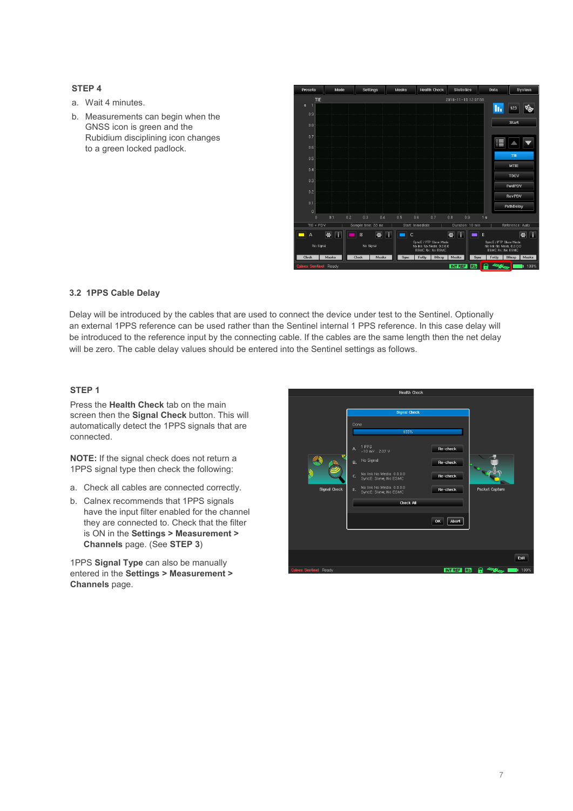#### **STEP 4**

- a. Wait 4 minutes.
- b. Measurements can begin when the GNSS icon is green and the Rubidium disciplining icon changes to a green locked padlock.



#### <span id="page-6-0"></span>**3.2 1PPS Cable Delay**

Delay will be introduced by the cables that are used to connect the device under test to the Sentinel. Optionally an external 1PPS reference can be used rather than the Sentinel internal 1 PPS reference. In this case delay will be introduced to the reference input by the connecting cable. If the cables are the same length then the net delay will be zero. The cable delay values should be entered into the Sentinel settings as follows.

#### **STEP 1**

Press the **Health Check** tab on the main screen then the **Signal Check** button. This will automatically detect the 1PPS signals that are connected.

**NOTE:** If the signal check does not return a 1PPS signal type then check the following:

- a. Check all cables are connected correctly.
- b. Calnex recommends that 1PPS signals have the input filter enabled for the channel they are connected to. Check that the filter is ON in the **Settings > Measurement > Channels** page. (See **STEP 3**)

1PPS **Signal Type** can also be manually entered in the **Settings > Measurement > Channels** page.

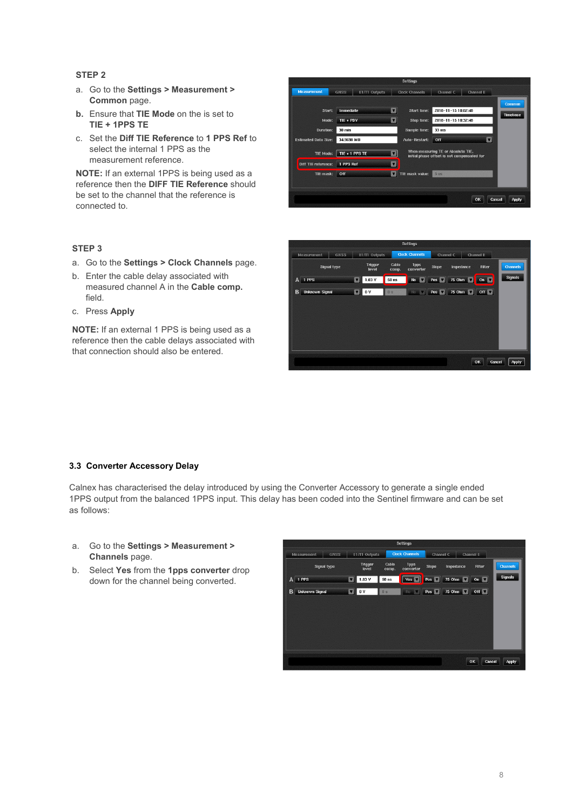#### **STEP 2**

- a. Go to the **Settings > Measurement > Common** page.
- **b.** Ensure that **TIE Mode** on the is set to **TIE + 1PPS TE**
- c. Set the **Diff TIE Reference** to **1 PPS Ref** to select the internal 1 PPS as the measurement reference.

**NOTE:** If an external 1PPS is being used as a reference then the **DIFF TIE Reference** should be set to the channel that the reference is connected to.

#### GNSS E1/T1 Outputs | Clock Channels Channel C  $\overline{\mathbf{z}}$ Start: Immediate Start time: 2018-11-15 10:02:48 Mode:  $TIE + PDV$  $\overline{a}$ Stop time: 2018-11-15 10:32:48  $30 \text{ min}$ Sample time: 33 m **Duration:** Auto-Restart: Off **Estimated Data Size:** 34.9698 MB  $\overline{\mathbf{u}}$ When measuring TE or Absolute TIE,<br>initial phase offset is not compensated for TIE Mode:  $\boxed{\mathsf{TE} + 1 \mathsf{PPS} \mathsf{TE}}$  $\overline{\mathbf{z}}$ Diff TIE reference: 1 PPS Ref  $\blacksquare$ TIE mask: **Off THE mask value:** 5 th OK | Cancel | Apply

### **STEP 3**

- a. Go to the **Settings > Clock Channels** page.
- b. Enter the cable delay associated with measured channel A in the **Cable comp.** field.
- c. Press **Apply**

**NOTE:** If an external 1 PPS is being used as a reference then the cable delays associated with that connection should also be entered.



#### <span id="page-7-0"></span>**3.3 Converter Accessory Delay**

Calnex has characterised the delay introduced by using the Converter Accessory to generate a single ended 1PPS output from the balanced 1PPS input. This delay has been coded into the Sentinel firmware and can be set as follows:

- a. Go to the **Settings > Measurement > Channels** page.
- b. Select **Yes** from the **1pps converter** drop down for the channel being converted.

| <b>Settings</b>            |                       |                    |                                        |                  |                        |                            |                |                 |                 |  |  |
|----------------------------|-----------------------|--------------------|----------------------------------------|------------------|------------------------|----------------------------|----------------|-----------------|-----------------|--|--|
| <b>GNSS</b><br>Measurement |                       |                    | <b>Clock Channels</b><br>E1/T1 Outputs |                  | Channel C<br>Channel E |                            |                |                 |                 |  |  |
|                            |                       | <b>Signal type</b> | <b>Trigger</b><br>level                | Cable<br>comp.   | 1pps<br>converter      | Slope                      | Impedance      | <b>Filter</b>   | <b>Channels</b> |  |  |
|                            | A 1 PPS               |                    | 1.03V<br>u                             | 50 <sub>ns</sub> | Yes v                  | Pos <sup>V</sup>           | 75 Ohm         | On $\boxed{\ }$ | <b>Signals</b>  |  |  |
| B                          | <b>Unknown Signal</b> |                    | 0 <sub>V</sub><br>$\mathbf{r}$         | 0s               | No.<br>- 10            | $Pos$ $\blacktriangledown$ | 75 Ohm 0ff 0ff |                 |                 |  |  |
|                            |                       |                    |                                        |                  |                        |                            |                |                 |                 |  |  |
|                            |                       |                    |                                        |                  |                        |                            |                |                 |                 |  |  |
|                            |                       |                    |                                        |                  |                        |                            |                |                 |                 |  |  |
|                            |                       |                    |                                        |                  |                        |                            |                |                 |                 |  |  |
|                            |                       |                    |                                        |                  |                        |                            |                |                 |                 |  |  |
|                            |                       |                    |                                        |                  |                        |                            |                | OK<br>Cancel    | Apply           |  |  |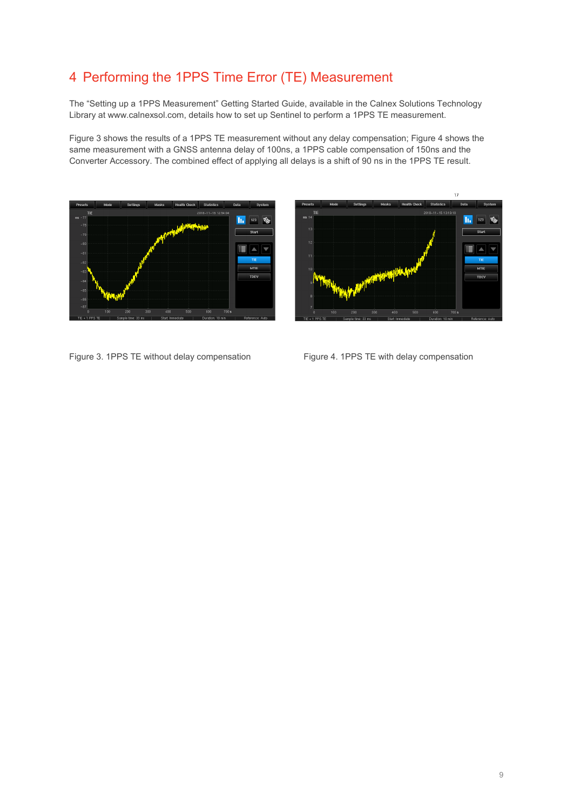### <span id="page-8-0"></span>4 Performing the 1PPS Time Error (TE) Measurement

The "Setting up a 1PPS Measurement" Getting Started Guide, available in the Calnex Solutions Technology Library at www.calnexsol.com, details how to set up Sentinel to perform a 1PPS TE measurement.

Figure 3 shows the results of a 1PPS TE measurement without any delay compensation; Figure 4 shows the same measurement with a GNSS antenna delay of 100ns, a 1PPS cable compensation of 150ns and the Converter Accessory. The combined effect of applying all delays is a shift of 90 ns in the 1PPS TE result.





Figure 3. 1PPS TE without delay compensation Figure 4. 1PPS TE with delay compensation